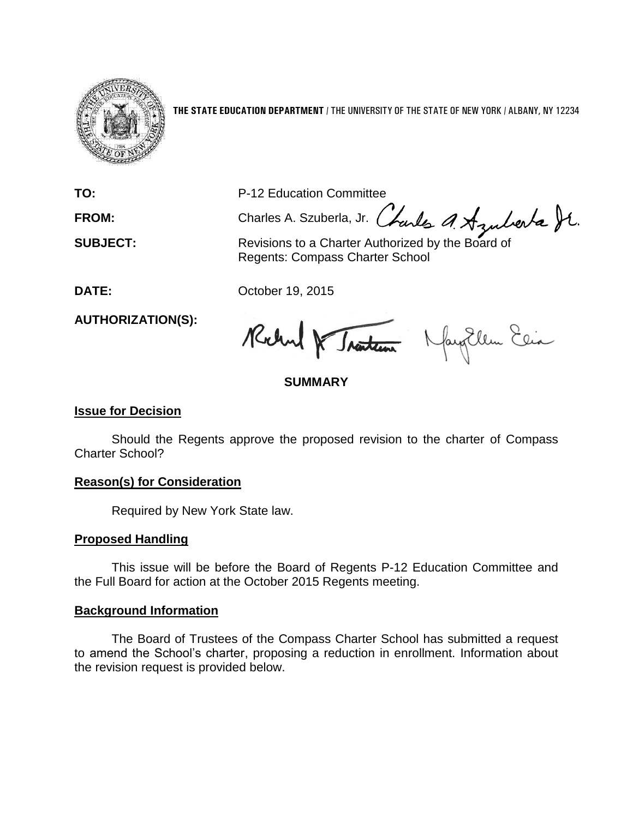

**THE STATE EDUCATION DEPARTMENT** / THE UNIVERSITY OF THE STATE OF NEW YORK / ALBANY, NY 12234

**TO:** P-12 Education Committee

FROM: Charles A. Szuberla, Jr. (harles A. Azuberla St.

**SUBJECT:** Revisions to a Charter Authorized by the Board of Regents: Compass Charter School

**DATE:** October 19, 2015

**AUTHORIZATION(S):**

Rochel & Traiten Nagollen Ein

# **SUMMARY**

## **Issue for Decision**

Should the Regents approve the proposed revision to the charter of Compass Charter School?

## **Reason(s) for Consideration**

Required by New York State law.

## **Proposed Handling**

This issue will be before the Board of Regents P-12 Education Committee and the Full Board for action at the October 2015 Regents meeting.

## **Background Information**

The Board of Trustees of the Compass Charter School has submitted a request to amend the School's charter, proposing a reduction in enrollment. Information about the revision request is provided below.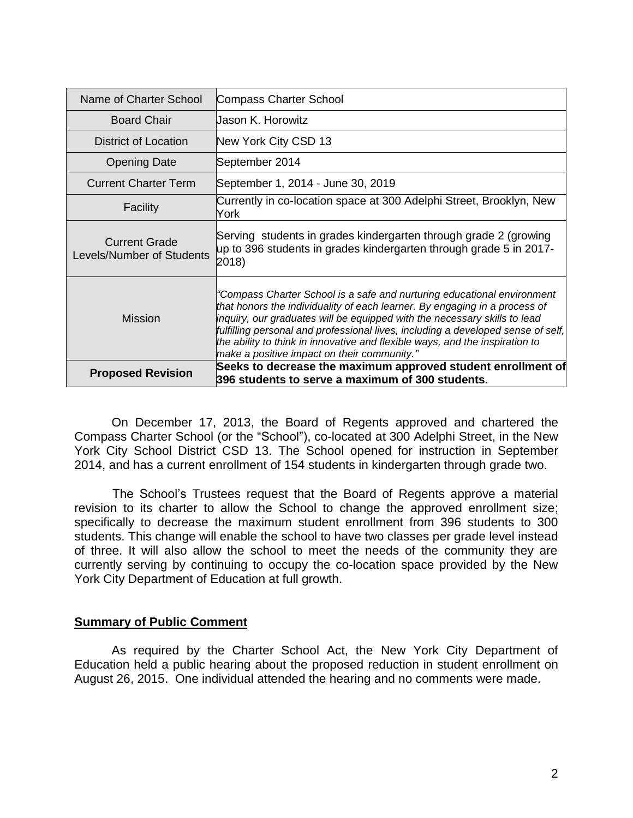| Name of Charter School                            | <b>Compass Charter School</b>                                                                                                                                                                                                                                                                                                                                                                                                                         |
|---------------------------------------------------|-------------------------------------------------------------------------------------------------------------------------------------------------------------------------------------------------------------------------------------------------------------------------------------------------------------------------------------------------------------------------------------------------------------------------------------------------------|
| <b>Board Chair</b>                                | Uason K. Horowitz                                                                                                                                                                                                                                                                                                                                                                                                                                     |
| District of Location                              | New York City CSD 13                                                                                                                                                                                                                                                                                                                                                                                                                                  |
| <b>Opening Date</b>                               | September 2014                                                                                                                                                                                                                                                                                                                                                                                                                                        |
| <b>Current Charter Term</b>                       | September 1, 2014 - June 30, 2019                                                                                                                                                                                                                                                                                                                                                                                                                     |
| Facility                                          | Currently in co-location space at 300 Adelphi Street, Brooklyn, New<br>York                                                                                                                                                                                                                                                                                                                                                                           |
| <b>Current Grade</b><br>Levels/Number of Students | Serving students in grades kindergarten through grade 2 (growing<br>up to 396 students in grades kindergarten through grade 5 in 2017-<br>2018)                                                                                                                                                                                                                                                                                                       |
| <b>Mission</b>                                    | "Compass Charter School is a safe and nurturing educational environment<br>that honors the individuality of each learner. By engaging in a process of<br>inquiry, our graduates will be equipped with the necessary skills to lead<br>fulfilling personal and professional lives, including a developed sense of self,<br>the ability to think in innovative and flexible ways, and the inspiration to<br>make a positive impact on their community." |
| <b>Proposed Revision</b>                          | Seeks to decrease the maximum approved student enrollment of<br>396 students to serve a maximum of 300 students.                                                                                                                                                                                                                                                                                                                                      |

On December 17, 2013, the Board of Regents approved and chartered the Compass Charter School (or the "School"), co-located at 300 Adelphi Street, in the New York City School District CSD 13. The School opened for instruction in September 2014, and has a current enrollment of 154 students in kindergarten through grade two.

 The School's Trustees request that the Board of Regents approve a material revision to its charter to allow the School to change the approved enrollment size; specifically to decrease the maximum student enrollment from 396 students to 300 students. This change will enable the school to have two classes per grade level instead of three. It will also allow the school to meet the needs of the community they are currently serving by continuing to occupy the co-location space provided by the New York City Department of Education at full growth.

#### **Summary of Public Comment**

As required by the Charter School Act, the New York City Department of Education held a public hearing about the proposed reduction in student enrollment on August 26, 2015. One individual attended the hearing and no comments were made.